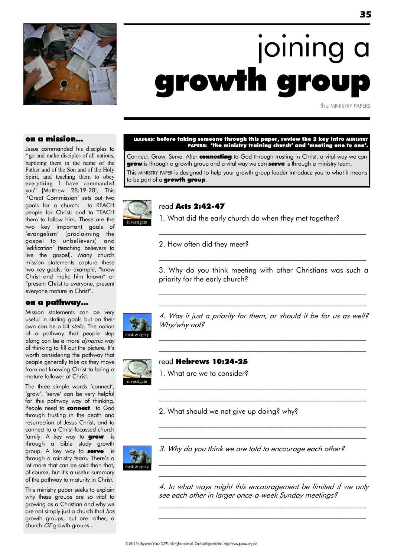

# joining a growth gro

the MINISTRY PAPERS

#### on a mission...

Jesus commanded his disciples to "go and make disciples of all nations, baptizing them in the name of the Father and of the Son and of the Holy Spirit, and teaching them to obey everything I have commanded you" [Matthew 28:19-20]. This 'Great Commission' sets out two goals for a church: to REACH people for Christ; and to TEACH them to follow him. These are the two key important goals of "evangelism" (proclaiming the gospel to unbelievers) and "edification" (teaching believers to live the gospel). Many church mission statements capture these two key goals, for example, "know Christ and make him known" or "present Christ to everyone, present everyone mature in Christ".

#### on a pathway...

Mission statements can be very useful in stating goals but on their own can be a bit static. The notion of a pathway that people step along can be a more *dynamic* way of thinking to fill out the picture. It's worth considering the pathway that people generally take as they move from not knowing Christ to being a mature follower of Christ.

The three simple words 'connect', 'grow', 'serve' can be very helpful for this pathway way of thinking. People need to **connect** to God through trusting in the death and resurrection of Jesus Christ, and to connect to a Christ-focussed church family. A key way to **grow** is through a bible study growth group. A key way to **serve** is through a ministry team. There's a lot more that can be said than that, of course, but it's a useful summary of the pathway to maturity in Christ.

This ministry paper seeks to explain why these groups are so vital to growing as a Christian and why we are not simply just a church that has growth groups, but are rather, a church OF growth groups...

#### LEADERS: before taking someone through this paper, review the 2 key intro MINISTRY PAPERS: 'the ministry training church' and 'meeting one to one'.

Connect. Grow. Serve. After connecting to God through trusting in Christ, a vital way we can **grow** is through a growth group and a vital way we can **serve** is through a ministry team. This MINISTRY PAPER is designed to help your growth group leader introduce you to what it means to be part of a growth group.



#### read Acts 2:42-47

1. What did the early church do when they met together?

2. How often did they meet?

3. Why do you think meeting with other Christians was such a priority for the early church?

 $\mathcal{L}_\text{max}$  and the contract of the contract of the contract of the contract of the contract of the contract of  $\mathcal{L}_\text{max}$  and the contract of the contract of the contract of the contract of the contract of the contract of

 $\mathcal{L}_\text{max}$  and the contract of the contract of the contract of the contract of the contract of the contract of

\_\_\_\_\_\_\_\_\_\_\_\_\_\_\_\_\_\_\_\_\_\_\_\_\_\_\_\_\_\_\_\_\_\_\_\_\_\_\_\_\_\_\_\_\_\_\_\_\_\_\_\_\_\_\_\_\_



4. Was it just a priority for them, or should it be for us as well? Why/why not?

 $\mathcal{L}_\text{max}$  and the contract of the contract of the contract of the contract of the contract of the contract of  $\mathcal{L}_\text{max}$  and the contract of the contract of the contract of the contract of the contract of the contract of

 $\mathcal{L}_\text{max}$  and the contract of the contract of the contract of the contract of the contract of the contract of  $\mathcal{L}_\text{max}$  and the contract of the contract of the contract of the contract of the contract of the contract of

 $\mathcal{L}_\text{max}$  and the contract of the contract of the contract of the contract of the contract of the contract of  $\mathcal{L}_\text{max}$  and the contract of the contract of the contract of the contract of the contract of the contract of



#### read Hebrews 10:24-25

1. What are we to consider?

2. What should we not give up doing? why?



3. Why do you think we are told to encourage each other?

4. In what ways might this encouragement be limited if we only see each other in larger once-a-week Sunday meetings?

 $\mathcal{L}_\text{max}$  and the contract of the contract of the contract of the contract of the contract of the contract of  $\mathcal{L}_\text{max}$  and the contract of the contract of the contract of the contract of the contract of the contract of

\_\_\_\_\_\_\_\_\_\_\_\_\_\_\_\_\_\_\_\_\_\_\_\_\_\_\_\_\_\_\_\_\_\_\_\_\_\_\_\_\_\_\_\_\_\_\_\_\_\_\_\_\_\_\_\_\_  $\mathcal{L}_\text{max}$  and the contract of the contract of the contract of the contract of the contract of the contract of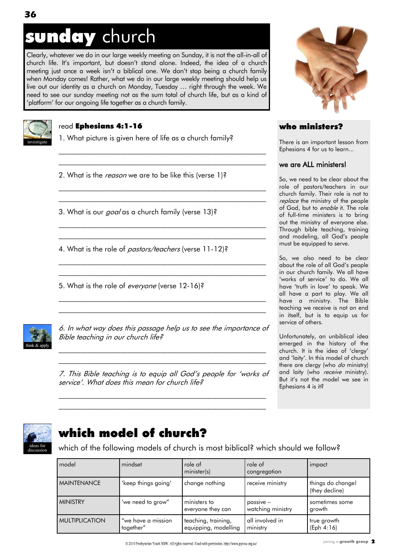## sunday church

Clearly, whatever we do in our large weekly meeting on Sunday, it is not the all-in-all of church life. It's important, but doesn't stand alone. Indeed, the idea of a church meeting just once a week isn't a biblical one. We don't stop being a church family when Monday comes! Rather, what we do in our large weekly meeting should help us live out our identity as a church on Monday, Tuesday … right through the week. We need to see our sunday meeting not as the sum total of church life, but as a kind of 'platform' for our ongoing life together as a church family.



#### read Ephesians 4:1-16

1. What picture is given here of life as a church family?

 $\mathcal{L}_\text{max}$  and the contract of the contract of the contract of the contract of the contract of the contract of  $\mathcal{L}_\text{max}$  and the contract of the contract of the contract of the contract of the contract of the contract of

 $\mathcal{L}_\text{max}$  and the contract of the contract of the contract of the contract of the contract of the contract of \_\_\_\_\_\_\_\_\_\_\_\_\_\_\_\_\_\_\_\_\_\_\_\_\_\_\_\_\_\_\_\_\_\_\_\_\_\_\_\_\_\_\_\_\_\_\_\_\_\_\_\_\_\_\_\_\_

\_\_\_\_\_\_\_\_\_\_\_\_\_\_\_\_\_\_\_\_\_\_\_\_\_\_\_\_\_\_\_\_\_\_\_\_\_\_\_\_\_\_\_\_\_\_\_\_\_\_\_\_\_\_\_\_\_ \_\_\_\_\_\_\_\_\_\_\_\_\_\_\_\_\_\_\_\_\_\_\_\_\_\_\_\_\_\_\_\_\_\_\_\_\_\_\_\_\_\_\_\_\_\_\_\_\_\_\_\_\_\_\_\_\_

\_\_\_\_\_\_\_\_\_\_\_\_\_\_\_\_\_\_\_\_\_\_\_\_\_\_\_\_\_\_\_\_\_\_\_\_\_\_\_\_\_\_\_\_\_\_\_\_\_\_\_\_\_\_\_\_\_  $\mathcal{L}_\text{max}$  and the contract of the contract of the contract of the contract of the contract of the contract of

 $\mathcal{L}_\text{max}$  and the contract of the contract of the contract of the contract of the contract of the contract of  $\mathcal{L}_\text{max}$  and the contract of the contract of the contract of the contract of the contract of the contract of

2. What is the *reason* we are to be like this (verse 1)?

3. What is our *goal* as a church family (verse 13)?

4. What is the role of pastors/teachers (verse 11-12)?

5. What is the role of everyone (verse 12-16)?



6. In what way does this passage help us to see the importance of Bible teaching in our church life?

\_\_\_\_\_\_\_\_\_\_\_\_\_\_\_\_\_\_\_\_\_\_\_\_\_\_\_\_\_\_\_\_\_\_\_\_\_\_\_\_\_\_\_\_\_\_\_\_\_\_\_\_\_\_\_\_\_  $\mathcal{L}_\text{max}$  and the contract of the contract of the contract of the contract of the contract of the contract of

7. This Bible teaching is to equip all God's people for "works of service'. What does this mean for church life?

 $\mathcal{L}_\text{max}$  and the contract of the contract of the contract of the contract of the contract of the contract of  $\mathcal{L}_\text{max}$  and the contract of the contract of the contract of the contract of the contract of the contract of



#### who ministers?

There is an important lesson from Ephesians 4 for us to learn...

#### we are ALL ministers!

So, we need to be clear about the role of pastors/teachers in our church family. Their role is not to replace the ministry of the people of God, but to *enable* it. The role of full-time ministers is to bring out the ministry of everyone else. Through bible teaching, training and modeling, all God"s people must be equipped to serve.

So, we also need to be clear about the role of all God"s people in our church family. We all have 'works of service' to do. We all have "truth in love" to speak. We all have a part to play. We all have a ministry. The Bible teaching we receive is not an end in itself, but is to equip us for service of others.

Unfortunately, an unbiblical idea emerged in the history of the church. It is the idea of "clergy" and "laity". In this model of church there are clergy (who do ministry) and laity (who receive ministry). But it's not the model we see in Ephesians 4 is it?



### which model of church?

which of the following models of church is most biblical? which should we follow?

| model                 | mindset                          | role of<br>minister(s)                      | role of<br>congregation          | impact                              |
|-----------------------|----------------------------------|---------------------------------------------|----------------------------------|-------------------------------------|
| <b>MAINTENANCE</b>    | 'keep things going'              | change nothing                              | receive ministry                 | things do change!<br>(they decline) |
| <b>MINISTRY</b>       | 'we need to grow"                | ministers to<br>everyone they can           | $passive -$<br>watching ministry | sometimes some<br>growth            |
| <b>MULTIPLICATION</b> | "we have a mission"<br>together" | teaching, training,<br>equipping, modelling | all involved in<br>ministry      | true growth<br>(Eph 4:16)           |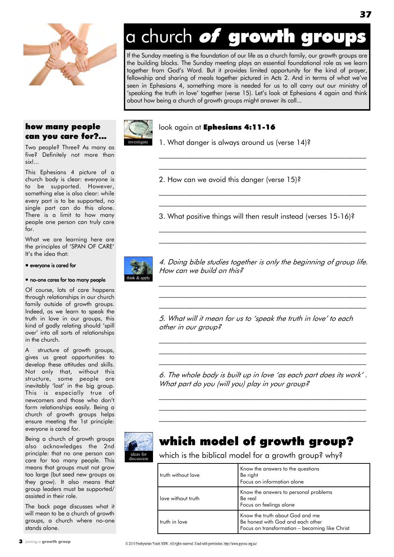

#### how many people can you care for?...

Two people? Three? As many as five? Definitely not more than six!...

This Ephesians 4 picture of a church body is clear: everyone is to be supported. However, something else is also clear: while every part is to be supported, no single part can do this alone. There is a limit to how many people one person can truly care for.

What we are learning here are the principles of "SPAN OF CARE" It"s the idea that:

#### everyone is cared for

#### no-one cares for too many people

Of course, lots of care happens through relationships in our church family outside of growth groups. Indeed, as we learn to speak the truth in love in our groups, this kind of godly relating should "spill over" into all sorts of relationships in the church.

A structure of growth groups, gives us great opportunities to develop these attitudes and skills. Not only that, without this structure, some people are inevitably "lost" in the big group. This is especially true of newcomers and those who don"t form relationships easily. Being a church of growth groups helps ensure meeting the 1st principle: everyone is cared for.

Being a church of growth groups also acknowledges the 2nd principle: that no one person can care for too many people. This means that groups must not grow too large (but seed new groups as they grow). It also means that group leaders must be supported/ assisted in their role.

The back page discusses what it will mean to be a church of growth groups, a church where no-one stands alone.

# a church of growth grou

If the Sunday meeting is the foundation of our life as a church family, our growth groups are the building blocks. The Sunday meeting plays an essential foundational role as we learn together from God"s Word. But it provides limited opportunity for the kind of prayer, fellowship and sharing of meals together pictured in Acts 2. And in terms of what we've seen in Ephesians 4, something more is needed for us to all carry out our ministry of "speaking the truth in love" together (verse 15). Let"s look at Ephesians 4 again and think about how being a church of growth groups might answer its call...



#### look again at Ephesians 4:11-16

1. What danger is always around us (verse 14)?

2. How can we avoid this danger (verse 15)?

3. What positive things will then result instead (verses 15-16)?

\_\_\_\_\_\_\_\_\_\_\_\_\_\_\_\_\_\_\_\_\_\_\_\_\_\_\_\_\_\_\_\_\_\_\_\_\_\_\_\_\_\_\_\_\_\_\_\_\_\_\_\_\_\_\_\_\_ \_\_\_\_\_\_\_\_\_\_\_\_\_\_\_\_\_\_\_\_\_\_\_\_\_\_\_\_\_\_\_\_\_\_\_\_\_\_\_\_\_\_\_\_\_\_\_\_\_\_\_\_\_\_\_\_\_

\_\_\_\_\_\_\_\_\_\_\_\_\_\_\_\_\_\_\_\_\_\_\_\_\_\_\_\_\_\_\_\_\_\_\_\_\_\_\_\_\_\_\_\_\_\_\_\_\_\_\_\_\_\_\_\_\_ \_\_\_\_\_\_\_\_\_\_\_\_\_\_\_\_\_\_\_\_\_\_\_\_\_\_\_\_\_\_\_\_\_\_\_\_\_\_\_\_\_\_\_\_\_\_\_\_\_\_\_\_\_\_\_\_\_

 $\mathcal{L}_\text{max}$  and the contract of the contract of the contract of the contract of the contract of the contract of  $\mathcal{L}_\text{max}$  and the contract of the contract of the contract of the contract of the contract of the contract of



4. Doing bible studies together is only the beginning of group life. How can we build on this?

 $\mathcal{L}_\text{max}$  and the contract of the contract of the contract of the contract of the contract of the contract of  $\mathcal{L}_\text{max}$  and the contract of the contract of the contract of the contract of the contract of the contract of  $\mathcal{L}_\text{max}$  and the contract of the contract of the contract of the contract of the contract of the contract of

5. What will it mean for us to 'speak the truth in love" to each other in our group?

6. The whole body is built up in love 'as each part does its work" . What part do you (will you) play in your group?

 $\mathcal{L}_\text{max}$  and the contract of the contract of the contract of the contract of the contract of the contract of  $\mathcal{L}_\text{max}$  and the contract of the contract of the contract of the contract of the contract of the contract of  $\mathcal{L}_\text{max}$  and the contract of the contract of the contract of the contract of the contract of the contract of

 $\mathcal{L}_\text{max}$  and the contract of the contract of the contract of the contract of the contract of the contract of  $\mathcal{L}_\text{max}$  and the contract of the contract of the contract of the contract of the contract of the contract of  $\mathcal{L}_\text{max}$  and the contract of the contract of the contract of the contract of the contract of the contract of



ideas for discussion

### which model of growth group?

which is the biblical model for a growth group? why?

| truth without love | Know the answers to the questions<br>Be right                                                                          |  |
|--------------------|------------------------------------------------------------------------------------------------------------------------|--|
|                    | Focus on information alone                                                                                             |  |
| love without truth | Know the answers to personal problems<br>Be real<br>Focus on feelings alone                                            |  |
| truth in love      | Know the truth about God and me<br>Be honest with God and each other<br>Focus on transformation - becoming like Christ |  |